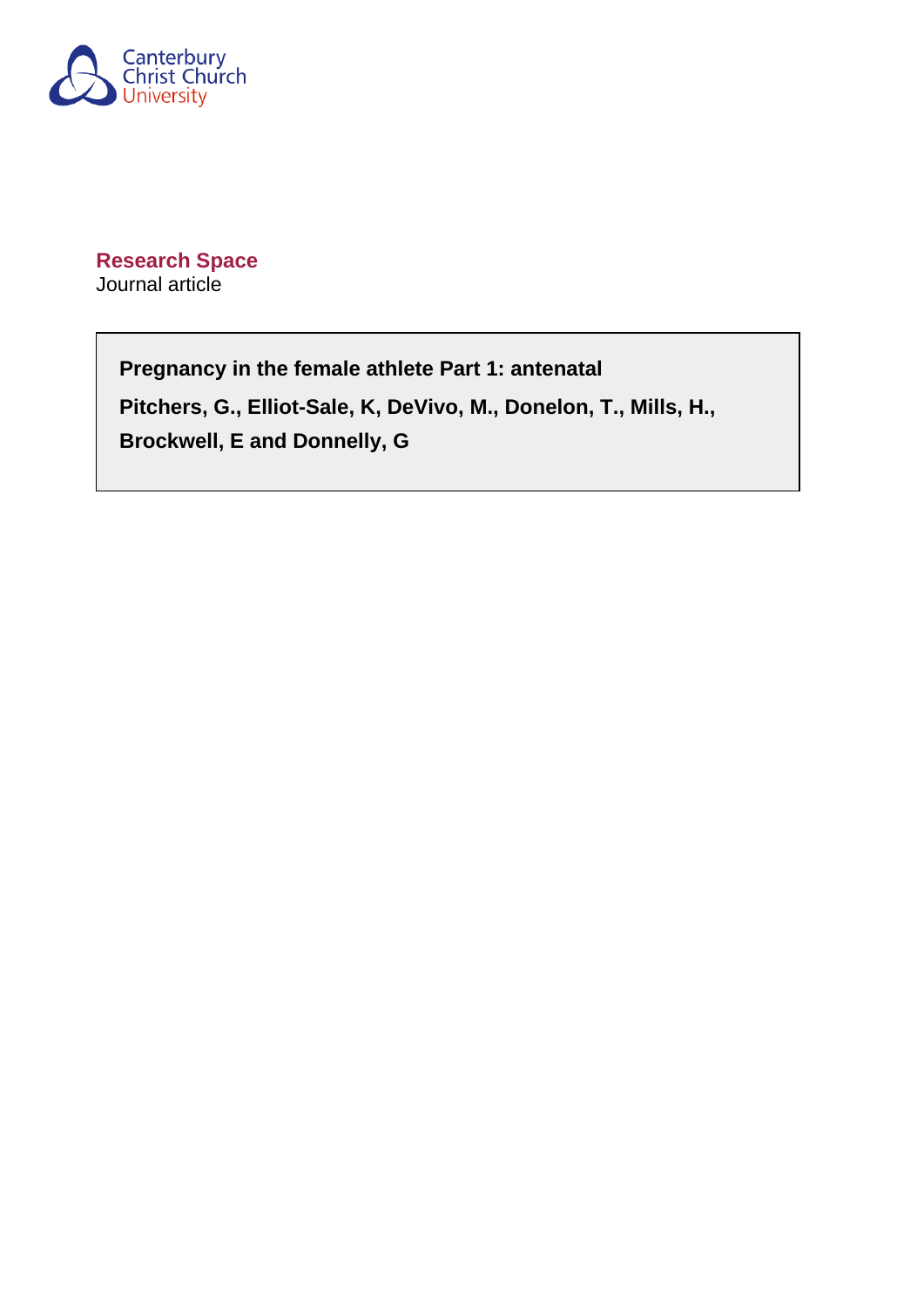

**Research Space** Journal article

> **Pregnancy in the female athlete Part 1: antenatal Pitchers, G., Elliot-Sale, K, DeVivo, M., Donelon, T., Mills, H., Brockwell, E and Donnelly, G**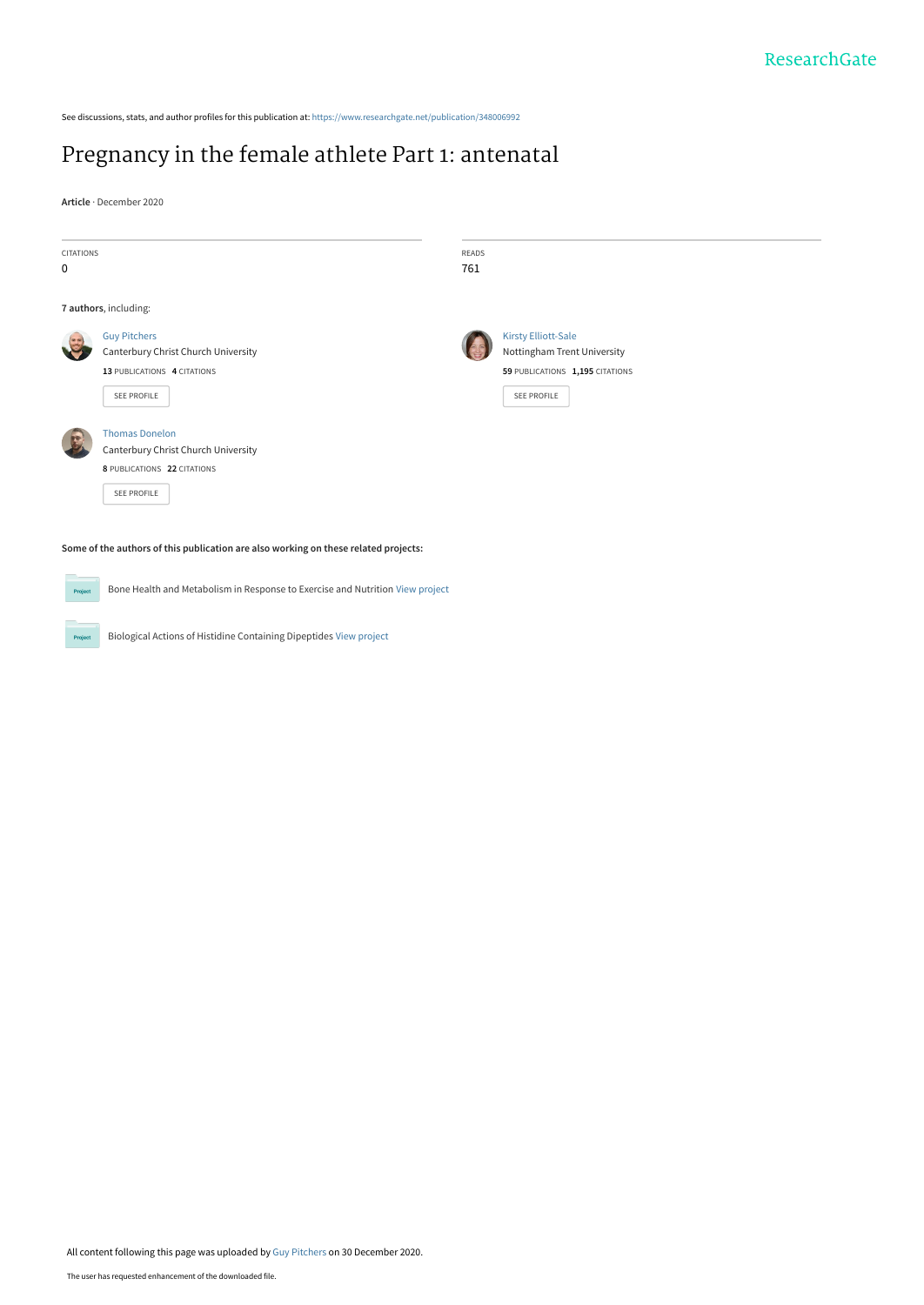See discussions, stats, and author profiles for this publication at: [https://www.researchgate.net/publication/348006992](https://www.researchgate.net/publication/348006992_Pregnancy_in_the_female_athlete_Part_1_antenatal?enrichId=rgreq-1220be8c9918842406cb7451eecc42b7-XXX&enrichSource=Y292ZXJQYWdlOzM0ODAwNjk5MjtBUzo5NzQ0ODYzNzU1MTAwMThAMTYwOTM0NzA2NTQ5NA%3D%3D&el=1_x_2&_esc=publicationCoverPdf)

### [Pregnancy in the female athlete Part 1: antenatal](https://www.researchgate.net/publication/348006992_Pregnancy_in_the_female_athlete_Part_1_antenatal?enrichId=rgreq-1220be8c9918842406cb7451eecc42b7-XXX&enrichSource=Y292ZXJQYWdlOzM0ODAwNjk5MjtBUzo5NzQ0ODYzNzU1MTAwMThAMTYwOTM0NzA2NTQ5NA%3D%3D&el=1_x_3&_esc=publicationCoverPdf)

**Article** · December 2020

| <b>CITATIONS</b><br>0                                                               | <b>READS</b><br>761                                                                                        |                                                                                                                    |  |  |
|-------------------------------------------------------------------------------------|------------------------------------------------------------------------------------------------------------|--------------------------------------------------------------------------------------------------------------------|--|--|
|                                                                                     | 7 authors, including:                                                                                      |                                                                                                                    |  |  |
|                                                                                     | <b>Guy Pitchers</b><br>Canterbury Christ Church University<br>13 PUBLICATIONS 4 CITATIONS<br>SEE PROFILE   | <b>Kirsty Elliott-Sale</b><br>Nottingham Trent University<br>59 PUBLICATIONS 1,195 CITATIONS<br><b>SEE PROFILE</b> |  |  |
|                                                                                     | <b>Thomas Donelon</b><br>Canterbury Christ Church University<br>8 PUBLICATIONS 22 CITATIONS<br>SEE PROFILE |                                                                                                                    |  |  |
| Some of the authors of this publication are also working on these related projects: |                                                                                                            |                                                                                                                    |  |  |
| Project                                                                             | Bone Health and Metabolism in Response to Exercise and Nutrition View project                              |                                                                                                                    |  |  |

Biological Actions of Histidine Containing Dipeptides [View project](https://www.researchgate.net/project/Biological-Actions-of-Histidine-Containing-Dipeptides?enrichId=rgreq-1220be8c9918842406cb7451eecc42b7-XXX&enrichSource=Y292ZXJQYWdlOzM0ODAwNjk5MjtBUzo5NzQ0ODYzNzU1MTAwMThAMTYwOTM0NzA2NTQ5NA%3D%3D&el=1_x_9&_esc=publicationCoverPdf) **Project**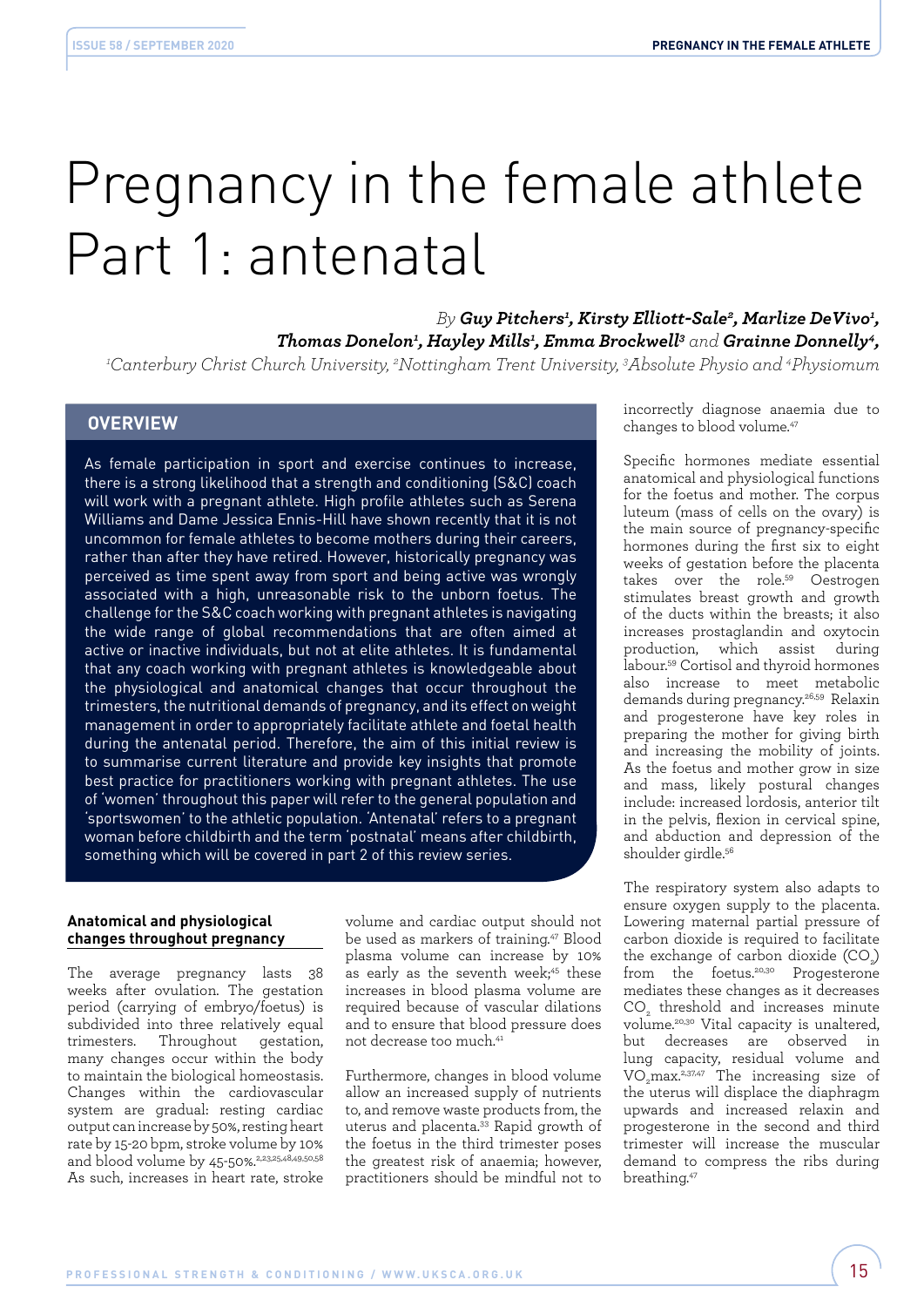# Pregnancy in the female athlete Part 1: antenatal

By Guy Pitchers<sup>1</sup>, Kirsty Elliott-Sale<sup>2</sup>, Marlize DeVivo<sup>1</sup>, *Thomas Donelon1 , Hayley Mills1 , Emma Brockwell3 and Grainne Donnelly4,* 

*1 Canterbury Christ Church University, 2 Nottingham Trent University, 3 Absolute Physio and 4 Physiomum*

#### **OVERVIEW**

As female participation in sport and exercise continues to increase, there is a strong likelihood that a strength and conditioning (S&C) coach will work with a pregnant athlete. High profile athletes such as Serena Williams and Dame Jessica Ennis-Hill have shown recently that it is not uncommon for female athletes to become mothers during their careers, rather than after they have retired. However, historically pregnancy was perceived as time spent away from sport and being active was wrongly associated with a high, unreasonable risk to the unborn foetus. The challenge for the S&C coach working with pregnant athletes is navigating the wide range of global recommendations that are often aimed at active or inactive individuals, but not at elite athletes. It is fundamental that any coach working with pregnant athletes is knowledgeable about the physiological and anatomical changes that occur throughout the trimesters, the nutritional demands of pregnancy, and its effect on weight management in order to appropriately facilitate athlete and foetal health during the antenatal period. Therefore, the aim of this initial review is to summarise current literature and provide key insights that promote best practice for practitioners working with pregnant athletes. The use of 'women' throughout this paper will refer to the general population and 'sportswomen' to the athletic population. 'Antenatal' refers to a pregnant woman before childbirth and the term 'postnatal' means after childbirth, something which will be covered in part 2 of this review series.

#### **Anatomical and physiological changes throughout pregnancy**

The average pregnancy lasts 38 weeks after ovulation. The gestation period (carrying of embryo/foetus) is subdivided into three relatively equal trimesters. Throughout gestation, many changes occur within the body to maintain the biological homeostasis. Changes within the cardiovascular system are gradual: resting cardiac output can increase by 50%, resting heart rate by 15-20 bpm, stroke volume by 10% and blood volume by 45-50%.<sup>2,23,25,48,49,50,58</sup> As such, increases in heart rate, stroke volume and cardiac output should not be used as markers of training.47 Blood plasma volume can increase by 10% as early as the seventh week;<sup>45</sup> these increases in blood plasma volume are required because of vascular dilations and to ensure that blood pressure does not decrease too much.41

Furthermore, changes in blood volume allow an increased supply of nutrients to, and remove waste products from, the uterus and placenta.33 Rapid growth of the foetus in the third trimester poses the greatest risk of anaemia; however, practitioners should be mindful not to

incorrectly diagnose anaemia due to changes to blood volume.47

Specific hormones mediate essential anatomical and physiological functions for the foetus and mother. The corpus luteum (mass of cells on the ovary) is the main source of pregnancy-specific hormones during the first six to eight weeks of gestation before the placenta takes over the role.59 Oestrogen stimulates breast growth and growth of the ducts within the breasts; it also increases prostaglandin and oxytocin production, which assist during labour.59 Cortisol and thyroid hormones also increase to meet metabolic demands during pregnancy.26,59 Relaxin and progesterone have key roles in preparing the mother for giving birth and increasing the mobility of joints. As the foetus and mother grow in size and mass, likely postural changes include: increased lordosis, anterior tilt in the pelvis, flexion in cervical spine, and abduction and depression of the shoulder girdle.<sup>56</sup>

The respiratory system also adapts to ensure oxygen supply to the placenta. Lowering maternal partial pressure of carbon dioxide is required to facilitate the exchange of carbon dioxide  $(CO<sub>2</sub>)$ from the foetus.<sup>20,30</sup> Progesterone mediates these changes as it decreases CO<sub>2</sub> threshold and increases minute volume.20,30 Vital capacity is unaltered, but decreases are observed in lung capacity, residual volume and VO<sub>2</sub>max.<sup>2,37,47</sup> The increasing size of the uterus will displace the diaphragm upwards and increased relaxin and progesterone in the second and third trimester will increase the muscular demand to compress the ribs during breathing.47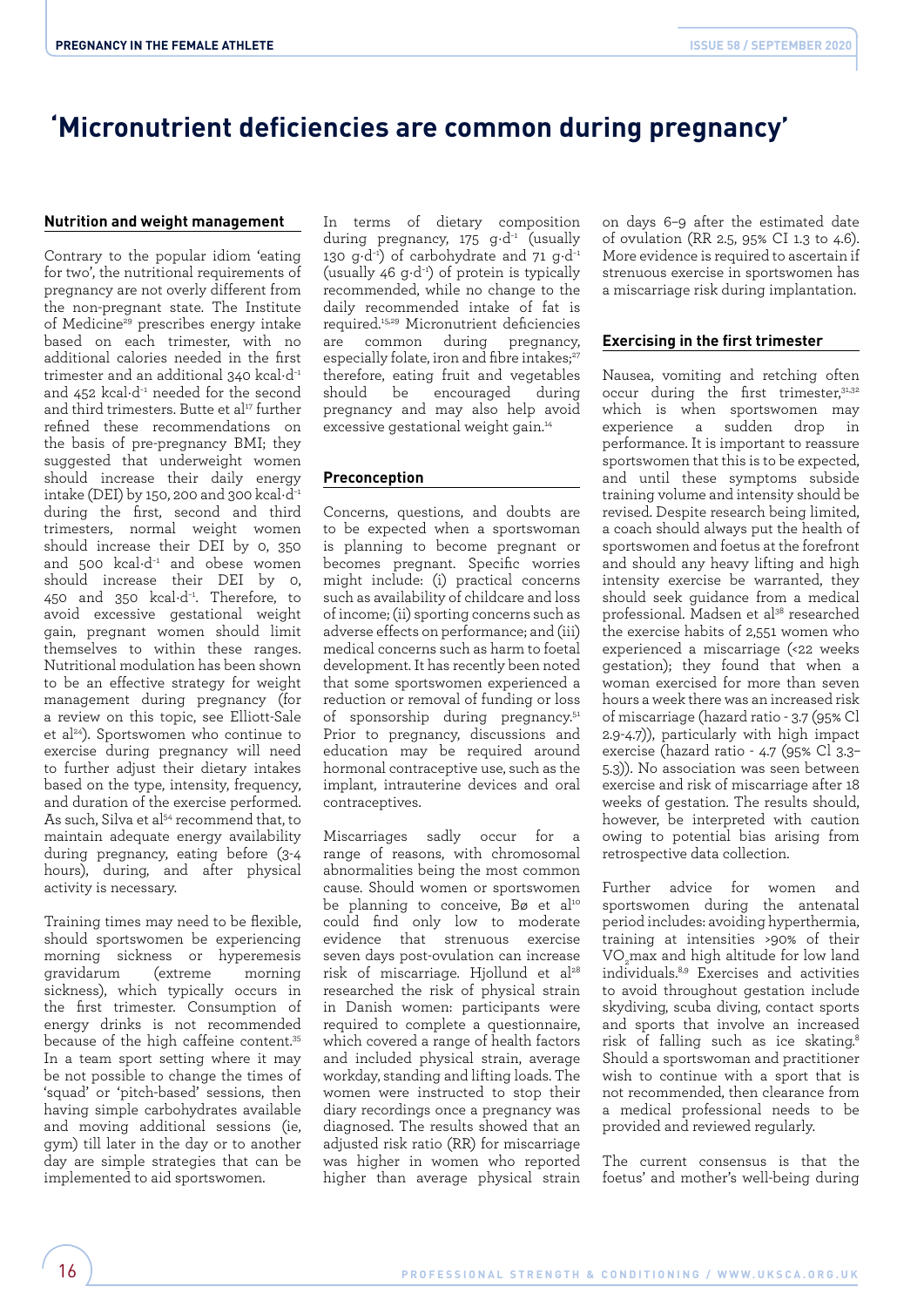## **'Micronutrient deficiencies are common during pregnancy'**

#### **Nutrition and weight management**

Contrary to the popular idiom 'eating for two', the nutritional requirements of pregnancy are not overly different from the non-pregnant state. The Institute of Medicine<sup>29</sup> prescribes energy intake based on each trimester, with no additional calories needed in the first trimester and an additional 340 kcal∙d−1 and 452 kcal∙d−1 needed for the second and third trimesters. Butte et al<sup>17</sup> further refined these recommendations on the basis of pre-pregnancy BMI; they suggested that underweight women should increase their daily energy intake (DEI) by 150, 200 and 300 kcal∙d−1 during the first, second and third trimesters, normal weight women should increase their DEI by 0, 350 and 500 kcal∙d−1 and obese women should increase their DEI by 0, 450 and 350 kcal∙d−1. Therefore, to avoid excessive gestational weight gain, pregnant women should limit themselves to within these ranges. Nutritional modulation has been shown to be an effective strategy for weight management during pregnancy (for a review on this topic, see Elliott-Sale et al<sup>24</sup>). Sportswomen who continue to exercise during pregnancy will need to further adjust their dietary intakes based on the type, intensity, frequency, and duration of the exercise performed. As such, Silva et al<sup>54</sup> recommend that, to maintain adequate energy availability during pregnancy, eating before (3-4 hours), during, and after physical activity is necessary.

Training times may need to be flexible, should sportswomen be experiencing morning sickness or hyperemesis gravidarum (extreme morning sickness), which typically occurs in the first trimester. Consumption of energy drinks is not recommended because of the high caffeine content.35 In a team sport setting where it may be not possible to change the times of 'squad' or 'pitch-based' sessions, then having simple carbohydrates available and moving additional sessions (ie, gym) till later in the day or to another day are simple strategies that can be implemented to aid sportswomen.

In terms of dietary composition during pregnancy, 175 g∙d−1 (usually 130 g∙d−1) of carbohydrate and 71 g∙d−1 (usually 46 g∙d−1) of protein is typically recommended, while no change to the daily recommended intake of fat is required.15,29 Micronutrient deficiencies are common during pregnancy, especially folate, iron and fibre intakes;<sup>27</sup> therefore, eating fruit and vegetables should be encouraged during pregnancy and may also help avoid excessive gestational weight gain.<sup>14</sup>

#### **Preconception**

Concerns, questions, and doubts are to be expected when a sportswoman is planning to become pregnant or becomes pregnant. Specific worries might include: (i) practical concerns such as availability of childcare and loss of income; (ii) sporting concerns such as adverse effects on performance; and (iii) medical concerns such as harm to foetal development. It has recently been noted that some sportswomen experienced a reduction or removal of funding or loss of sponsorship during pregnancy.51 Prior to pregnancy, discussions and education may be required around hormonal contraceptive use, such as the implant, intrauterine devices and oral contraceptives.

Miscarriages sadly occur for a range of reasons, with chromosomal abnormalities being the most common cause. Should women or sportswomen be planning to conceive, Bø et al<sup>10</sup> could find only low to moderate evidence that strenuous exercise seven days post-ovulation can increase risk of miscarriage. Hjollund et al<sup>28</sup> researched the risk of physical strain in Danish women: participants were required to complete a questionnaire, which covered a range of health factors and included physical strain, average workday, standing and lifting loads. The women were instructed to stop their diary recordings once a pregnancy was diagnosed. The results showed that an adjusted risk ratio (RR) for miscarriage was higher in women who reported higher than average physical strain on days 6–9 after the estimated date of ovulation (RR 2.5, 95% CI 1.3 to 4.6). More evidence is required to ascertain if strenuous exercise in sportswomen has a miscarriage risk during implantation.

#### **Exercising in the first trimester**

Nausea, vomiting and retching often occur during the first trimester,31,32 which is when sportswomen may experience a sudden drop in performance. It is important to reassure sportswomen that this is to be expected, and until these symptoms subside training volume and intensity should be revised. Despite research being limited, a coach should always put the health of sportswomen and foetus at the forefront and should any heavy lifting and high intensity exercise be warranted, they should seek guidance from a medical professional. Madsen et al<sup>38</sup> researched the exercise habits of 2,551 women who experienced a miscarriage (<22 weeks gestation); they found that when a woman exercised for more than seven hours a week there was an increased risk of miscarriage (hazard ratio - 3.7 (95% Cl 2.9-4.7)), particularly with high impact exercise (hazard ratio - 4.7 (95% Cl 3.3– 5.3)). No association was seen between exercise and risk of miscarriage after 18 weeks of gestation. The results should, however, be interpreted with caution owing to potential bias arising from retrospective data collection.

Further advice for women and sportswomen during the antenatal period includes: avoiding hyperthermia, training at intensities >90% of their VO2max and high altitude for low land individuals.8,9 Exercises and activities to avoid throughout gestation include skydiving, scuba diving, contact sports and sports that involve an increased risk of falling such as ice skating.8 Should a sportswoman and practitioner wish to continue with a sport that is not recommended, then clearance from a medical professional needs to be provided and reviewed regularly.

The current consensus is that the foetus' and mother's well-being during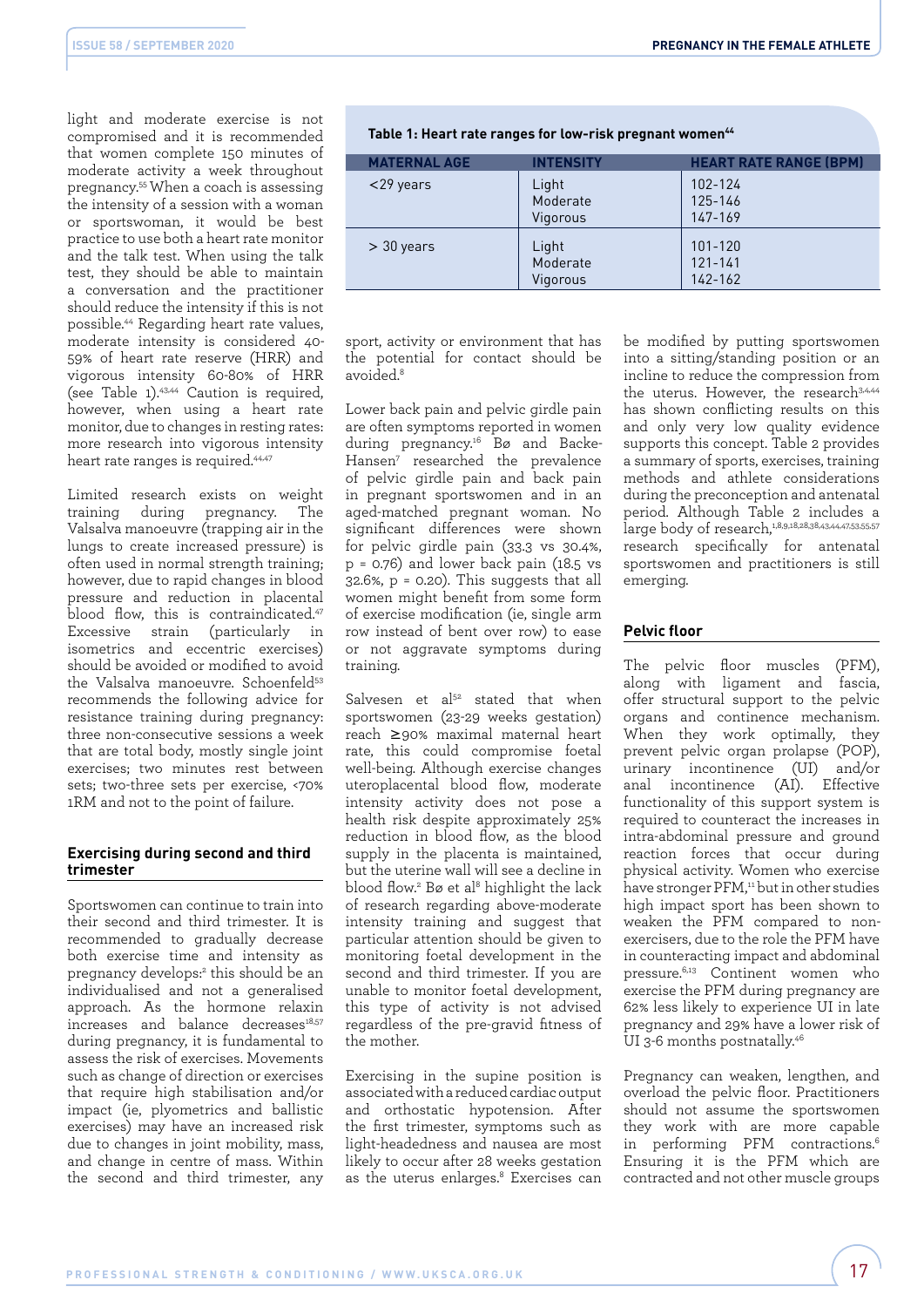light and moderate exercise is not compromised and it is recommended that women complete 150 minutes of moderate activity a week throughout pregnancy.55 When a coach is assessing the intensity of a session with a woman or sportswoman, it would be best practice to use both a heart rate monitor and the talk test. When using the talk test, they should be able to maintain a conversation and the practitioner should reduce the intensity if this is not possible.44 Regarding heart rate values, moderate intensity is considered 40- 59% of heart rate reserve (HRR) and vigorous intensity 60-80% of HRR (see Table 1).43,44 Caution is required, however, when using a heart rate monitor, due to changes in resting rates: more research into vigorous intensity heart rate ranges is required.<sup>44,47</sup>

Limited research exists on weight training during pregnancy. The Valsalva manoeuvre (trapping air in the lungs to create increased pressure) is often used in normal strength training; however, due to rapid changes in blood pressure and reduction in placental blood flow, this is contraindicated.<sup>47</sup> Excessive strain (particularly in isometrics and eccentric exercises) should be avoided or modified to avoid the Valsalva manoeuvre. Schoenfeld<sup>53</sup> recommends the following advice for resistance training during pregnancy: three non-consecutive sessions a week that are total body, mostly single joint exercises; two minutes rest between sets; two-three sets per exercise, <70% 1RM and not to the point of failure.

#### **Exercising during second and third trimester**

Sportswomen can continue to train into their second and third trimester. It is recommended to gradually decrease both exercise time and intensity as pregnancy develops:<sup>2</sup> this should be an individualised and not a generalised approach. As the hormone relaxin  $increases$  and balance decreases $^{18,57}$ during pregnancy, it is fundamental to assess the risk of exercises. Movements such as change of direction or exercises that require high stabilisation and/or impact (ie, plyometrics and ballistic exercises) may have an increased risk due to changes in joint mobility, mass, and change in centre of mass. Within the second and third trimester, any

| <b>MATERNAL AGE</b> | <b>INTENSITY</b>              | <b>HEART RATE RANGE (BPM)</b>         |
|---------------------|-------------------------------|---------------------------------------|
| $<$ 29 years        | Light<br>Moderate<br>Vigorous | 102-124<br>125-146<br>147-169         |
| $>$ 30 years        | Light<br>Moderate<br>Vigorous | $101 - 120$<br>$121 - 141$<br>142-162 |

Table 1: Heart rate ranges for low-risk pregnant women<sup>44</sup>

sport, activity or environment that has the potential for contact should be avoided.<sup>8</sup>

Lower back pain and pelvic girdle pain are often symptoms reported in women during pregnancy.16 Bø and Backe-Hansen7 researched the prevalence of pelvic girdle pain and back pain in pregnant sportswomen and in an aged-matched pregnant woman. No significant differences were shown for pelvic girdle pain (33.3 vs 30.4%, p = 0.76) and lower back pain (18.5 vs 32.6%, p = 0.20). This suggests that all women might benefit from some form of exercise modification (ie, single arm row instead of bent over row) to ease or not aggravate symptoms during training.

Salvesen et al<sup>52</sup> stated that when sportswomen (23-29 weeks gestation) reach ≥90% maximal maternal heart rate, this could compromise foetal well-being. Although exercise changes uteroplacental blood flow, moderate intensity activity does not pose a health risk despite approximately 25% reduction in blood flow, as the blood supply in the placenta is maintained, but the uterine wall will see a decline in blood flow.<sup>2</sup> Bø et al<sup>8</sup> highlight the lack of research regarding above-moderate intensity training and suggest that particular attention should be given to monitoring foetal development in the second and third trimester. If you are unable to monitor foetal development, this type of activity is not advised regardless of the pre-gravid fitness of the mother.

Exercising in the supine position is associated with a reduced cardiac output and orthostatic hypotension. After the first trimester, symptoms such as light-headedness and nausea are most likely to occur after 28 weeks gestation as the uterus enlarges.<sup>8</sup> Exercises can

be modified by putting sportswomen into a sitting/standing position or an incline to reduce the compression from the uterus. However, the research<sup>3,4,44</sup> has shown conflicting results on this and only very low quality evidence supports this concept. Table 2 provides a summary of sports, exercises, training methods and athlete considerations during the preconception and antenatal period. Although Table 2 includes a large body of research, 1,8,9,18,28,38,43,44,47,53,55,57 research specifically for antenatal sportswomen and practitioners is still emerging.

#### **Pelvic floor**

The pelvic floor muscles (PFM), along with ligament and fascia, offer structural support to the pelvic organs and continence mechanism. When they work optimally, they prevent pelvic organ prolapse (POP), urinary incontinence (UI) and/or anal incontinence (AI). Effective functionality of this support system is required to counteract the increases in intra-abdominal pressure and ground reaction forces that occur during physical activity. Women who exercise have stronger PFM,<sup>11</sup> but in other studies high impact sport has been shown to weaken the PFM compared to nonexercisers, due to the role the PFM have in counteracting impact and abdominal pressure.6,13 Continent women who exercise the PFM during pregnancy are 62% less likely to experience UI in late pregnancy and 29% have a lower risk of UI 3-6 months postnatally.<sup>46</sup>

Pregnancy can weaken, lengthen, and overload the pelvic floor. Practitioners should not assume the sportswomen they work with are more capable in performing PFM contractions.<sup>6</sup> Ensuring it is the PFM which are contracted and not other muscle groups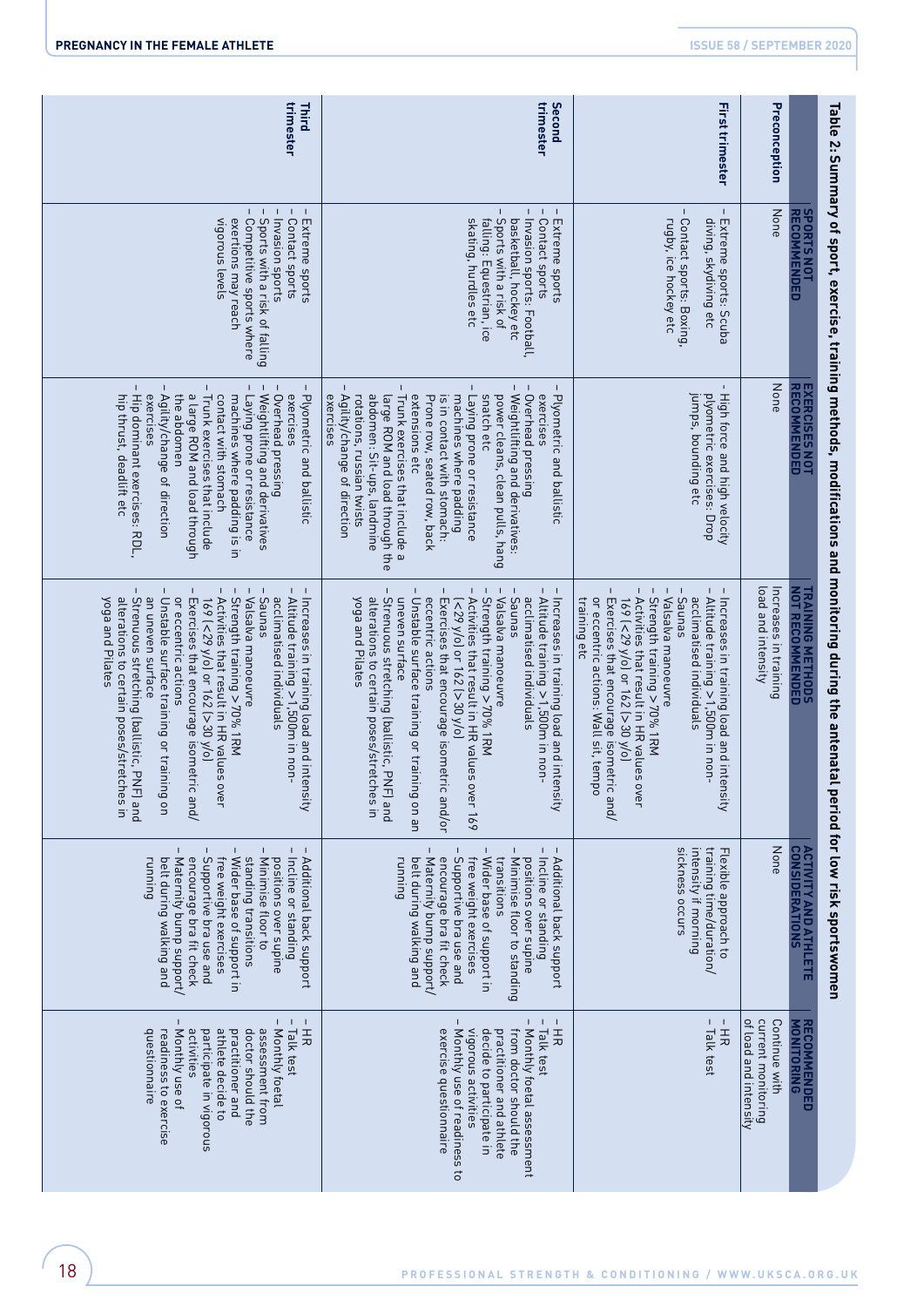|                           | <b>SPURIJANENDED</b>                                                                                                                                                  | <b>EXERCISES I</b><br>RECOMMENI<br>$\mathbf{z}$<br><b>DED</b>                                                                                                                                                                                                                                                                                                                                                                                                                              | <b>ANINING</b><br><b>RECON</b><br>スポスロポロ<br>Ō<br>HODS                                                                                                                                                                                                                                                                                                                                                                                                                                                                                                          | <b>ACTIVITY ANI<br/>CONSIDERAT</b><br><b>SND ATHLETE</b><br>g                                                                                                                                                                                                                                                     | <b>RECOMMENDED<br/>MONITORING</b>                                                                                                                                                                                                      |
|---------------------------|-----------------------------------------------------------------------------------------------------------------------------------------------------------------------|--------------------------------------------------------------------------------------------------------------------------------------------------------------------------------------------------------------------------------------------------------------------------------------------------------------------------------------------------------------------------------------------------------------------------------------------------------------------------------------------|----------------------------------------------------------------------------------------------------------------------------------------------------------------------------------------------------------------------------------------------------------------------------------------------------------------------------------------------------------------------------------------------------------------------------------------------------------------------------------------------------------------------------------------------------------------|-------------------------------------------------------------------------------------------------------------------------------------------------------------------------------------------------------------------------------------------------------------------------------------------------------------------|----------------------------------------------------------------------------------------------------------------------------------------------------------------------------------------------------------------------------------------|
| Preconception             | None                                                                                                                                                                  | None                                                                                                                                                                                                                                                                                                                                                                                                                                                                                       | load and intensity<br>Increases in training                                                                                                                                                                                                                                                                                                                                                                                                                                                                                                                    | None                                                                                                                                                                                                                                                                                                              | current monitoring<br>of load and intensity<br>Continue with                                                                                                                                                                           |
| <b>First trimester</b>    | $\mathbf{I}$<br>т<br>Contact sports: Boxing,<br>Extreme sports: Scuba<br>rugby, ice hockey etc<br>diving, skydiving etc                                               | jumps, bounding etc<br>High force and high velocity<br>plyometric exercises: Drop                                                                                                                                                                                                                                                                                                                                                                                                          | $\mathbf{I}$<br>$\mathsf I$<br>$1 - 1$<br>ī<br>Activities that result in HR values<br>Strength training >70% 1RM<br>Valsalva manoeuvre<br>Saunas<br>acclimatised individuals<br>Altitude training > 1,500m in non-<br>or eccentric actions: Wall sit, tempo<br>Increases in training load and intensity<br>Exercises that encourage isometric and/<br>169 (<29 y/o) or 162 (>30 y/o)<br>training etc<br>OVEL                                                                                                                                                   | SICKNESS OCCUTS<br>intensity if morning<br>training time/duration/<br>Flexible approach to                                                                                                                                                                                                                        | - Talk test<br>$rac{1}{20}$                                                                                                                                                                                                            |
| trimester<br>Second       | Sports with a risk of<br>Invasion sports: Football,<br>Contact sports<br>Extreme sports<br>skating, hurdles etc<br>basketball, hockey etc<br>falling: Equestrian, ice | $\mathbf{I}$<br>Plyometric and ballistic<br>abdomen: Sit-ups, landmine<br>snatch etc<br>Weightlifting and derivatives:<br>Overhead pressing<br>exercises<br>exercises<br>Agility/change of direction<br>large ROM and load through the<br>extensions etc<br>Laying prone or resistance<br>power cleans, clean pulls, hang<br>rotations, russian twists<br>Prone row, seated row, back<br>is in contact with stomach:<br>machines where padding<br>Trunk exercises that include<br>$\omega$ | - Valsalva manoeuvre<br>$\mathbf{I}$<br>I<br>T.<br>Altitude training > 1,500m in non-<br>yoga and Pilates<br>alterations to certain poses/stretches in<br>Strenuous stretching (ballistic, P<br>uneven surface<br>Unstable surface training or training on an<br>eccentric actions<br>Activities that result in HR values<br>Strength training >70% 1RM<br>Saunas<br>acclimatised individuals<br>Increases in training load and intensity<br>Exercises that encourage isometric and/or<br>(<29 y/o) or 162 (>30 y/o)<br>NF) and<br>over 169                    | $\blacksquare$<br>Maternity bump support/<br>encourage bra fit check<br>Supportive bra use and<br>Wider base of support in<br>transitions<br>Incline or standing<br>Additional back support<br>belt during walking and<br>free weight exercises<br>Minimise floor to standing<br>positions over supine<br>running | - Monthly foetal assessment<br>- Talk test<br>$rac{1}{2}$<br>- Monthly use of readiness to<br>vigorous activities<br>exercise questionnaire<br>decide to participate in<br>from doctor should the<br>practitioner and athlete          |
| trimester<br><b>Third</b> | Competitive sports where<br>Invasion sports<br>Contact sports<br>Sports with a risk of falling<br>Extreme sports<br>vigorous levels<br>exertions may reach            | - Hip dominant exercises: RDL,<br>Agility/change of direction<br>a large ROM and load through<br>Trunk exercises that include<br>Weightlifting and derivatives<br>Plyometric and ballistic<br>hip thrust, deadlift etc<br>exercises<br>the abdomen<br>contact with stomach<br>machines where padding is in<br>Laying prone or resistance<br>Overhead pressing<br>exercises                                                                                                                 | T<br>$\mathbf{I}$<br>$\mathbf{I}$<br>T.<br>Valsalva manoeuvre<br>yoga and Pilates<br>an uneven surface<br>Unstable surface training or training on<br>Activities that result in HR values<br>Strength training >70% 1RM<br>acclimatised individuals<br>Altitude training > 1,500m in non-<br>alterations to certain poses/stretches in<br>Strenuous stretching (ballistic, P<br>or eccentric actions<br>169 (<29 y/o) or 162 (>30 y/o)<br>Saunas<br>Increases in training load and intensity<br>Exercises that encourage isometr<br>MF) and<br>ic and/<br>over | T<br>- 1<br>encourage bra fit check<br>Wider base of support in<br>standing transitions<br>Incline or standing<br>Maternity bump support/<br>Supportive bra use and<br>free weight exercises<br>positions over supine<br>Additional back support<br>belt during walking and<br>Minimise floor to<br>running       | - Monthly foetal<br>- Monthly use of<br>- Talk test<br>$rac{1}{2}$<br>questionnaire<br>readiness to exercise<br>activities<br>doctor should the<br>assessment from<br>athlete decide to<br>practitioner and<br>participate in vigorous |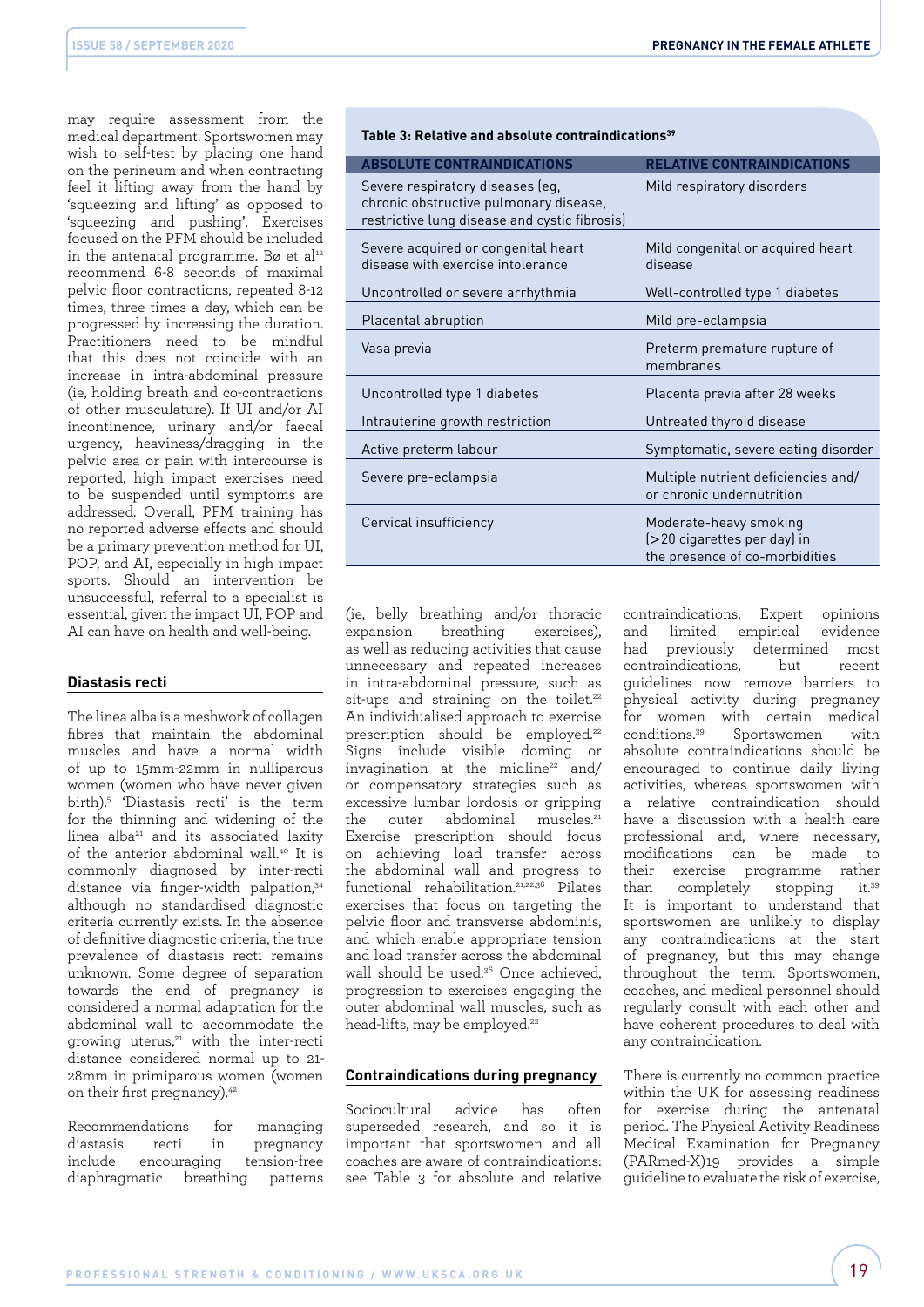may require assessment from the medical department. Sportswomen may wish to self-test by placing one hand on the perineum and when contracting feel it lifting away from the hand by 'squeezing and lifting' as opposed to 'squeezing and pushing'. Exercises focused on the PFM should be included in the antenatal programme. Bø et al $^{12}$ recommend 6-8 seconds of maximal pelvic floor contractions, repeated 8-12 times, three times a day, which can be progressed by increasing the duration. Practitioners need to be mindful that this does not coincide with an increase in intra-abdominal pressure (ie, holding breath and co-contractions of other musculature). If UI and/or AI incontinence, urinary and/or faecal urgency, heaviness/dragging in the pelvic area or pain with intercourse is reported, high impact exercises need to be suspended until symptoms are addressed. Overall, PFM training has no reported adverse effects and should be a primary prevention method for UI, POP, and AI, especially in high impact sports. Should an intervention be unsuccessful, referral to a specialist is essential, given the impact UI, POP and AI can have on health and well-being.

#### **Diastasis recti**

The linea alba is a meshwork of collagen fibres that maintain the abdominal muscles and have a normal width of up to 15mm-22mm in nulliparous women (women who have never given birth).5 'Diastasis recti' is the term for the thinning and widening of the linea alba $^{21}$  and its associated laxity of the anterior abdominal wall.<sup>40</sup> It is commonly diagnosed by inter-recti distance via finger-width palpation,<sup>34</sup> although no standardised diagnostic criteria currently exists. In the absence of definitive diagnostic criteria, the true prevalence of diastasis recti remains unknown. Some degree of separation towards the end of pregnancy is considered a normal adaptation for the abdominal wall to accommodate the growing uterus,21 with the inter-recti distance considered normal up to 21- 28mm in primiparous women (women on their first pregnancy).42

Recommendations for managing diastasis recti in pregnancy include encouraging tension-free diaphragmatic breathing patterns

| Table 3: Relative and absolute contraindications <sup>39</sup> |
|----------------------------------------------------------------|
|----------------------------------------------------------------|

| <b>ABSOLUTE CONTRAINDICATIONS</b>                                                                                           | <b>RELATIVE CONTRAINDICATIONS</b>                                                       |
|-----------------------------------------------------------------------------------------------------------------------------|-----------------------------------------------------------------------------------------|
| Severe respiratory diseases (eg,<br>chronic obstructive pulmonary disease,<br>restrictive lung disease and cystic fibrosis) | Mild respiratory disorders                                                              |
| Severe acquired or congenital heart<br>disease with exercise intolerance                                                    | Mild congenital or acquired heart<br>disease                                            |
| Uncontrolled or severe arrhythmia                                                                                           | Well-controlled type 1 diabetes                                                         |
| Placental abruption                                                                                                         | Mild pre-eclampsia                                                                      |
| Vasa previa                                                                                                                 | Preterm premature rupture of<br>membranes                                               |
| Uncontrolled type 1 diabetes                                                                                                | Placenta previa after 28 weeks                                                          |
| Intrauterine growth restriction                                                                                             | Untreated thyroid disease                                                               |
| Active preterm labour                                                                                                       | Symptomatic, severe eating disorder                                                     |
| Severe pre-eclampsia                                                                                                        | Multiple nutrient deficiencies and/<br>or chronic undernutrition                        |
| Cervical insufficiency                                                                                                      | Moderate-heavy smoking<br>(>20 cigarettes per day) in<br>the presence of co-morbidities |

(ie, belly breathing and/or thoracic expansion breathing exercises), as well as reducing activities that cause unnecessary and repeated increases in intra-abdominal pressure, such as sit-ups and straining on the toilet.<sup>22</sup> An individualised approach to exercise prescription should be employed.22 Signs include visible doming or invagination at the midline<sup>22</sup> and/ or compensatory strategies such as excessive lumbar lordosis or gripping the outer abdominal muscles.<sup>21</sup> Exercise prescription should focus on achieving load transfer across the abdominal wall and progress to functional rehabilitation.21,22,36 Pilates exercises that focus on targeting the pelvic floor and transverse abdominis, and which enable appropriate tension and load transfer across the abdominal wall should be used.<sup>36</sup> Once achieved, progression to exercises engaging the outer abdominal wall muscles, such as head-lifts, may be employed.<sup>22</sup>

#### **Contraindications during pregnancy**

Sociocultural advice has often superseded research, and so it is important that sportswomen and all coaches are aware of contraindications: see Table 3 for absolute and relative contraindications. Expert opinions and limited empirical evidence had previously determined most contraindications, but recent guidelines now remove barriers to physical activity during pregnancy for women with certain medical conditions.39 Sportswomen with absolute contraindications should be encouraged to continue daily living activities, whereas sportswomen with a relative contraindication should have a discussion with a health care professional and, where necessary, modifications can be made to their exercise programme rather than completely stopping it.39 It is important to understand that sportswomen are unlikely to display any contraindications at the start of pregnancy, but this may change throughout the term. Sportswomen, coaches, and medical personnel should regularly consult with each other and have coherent procedures to deal with any contraindication.

There is currently no common practice within the UK for assessing readiness for exercise during the antenatal period. The Physical Activity Readiness Medical Examination for Pregnancy (PARmed-X)19 provides a simple guideline to evaluate the risk of exercise,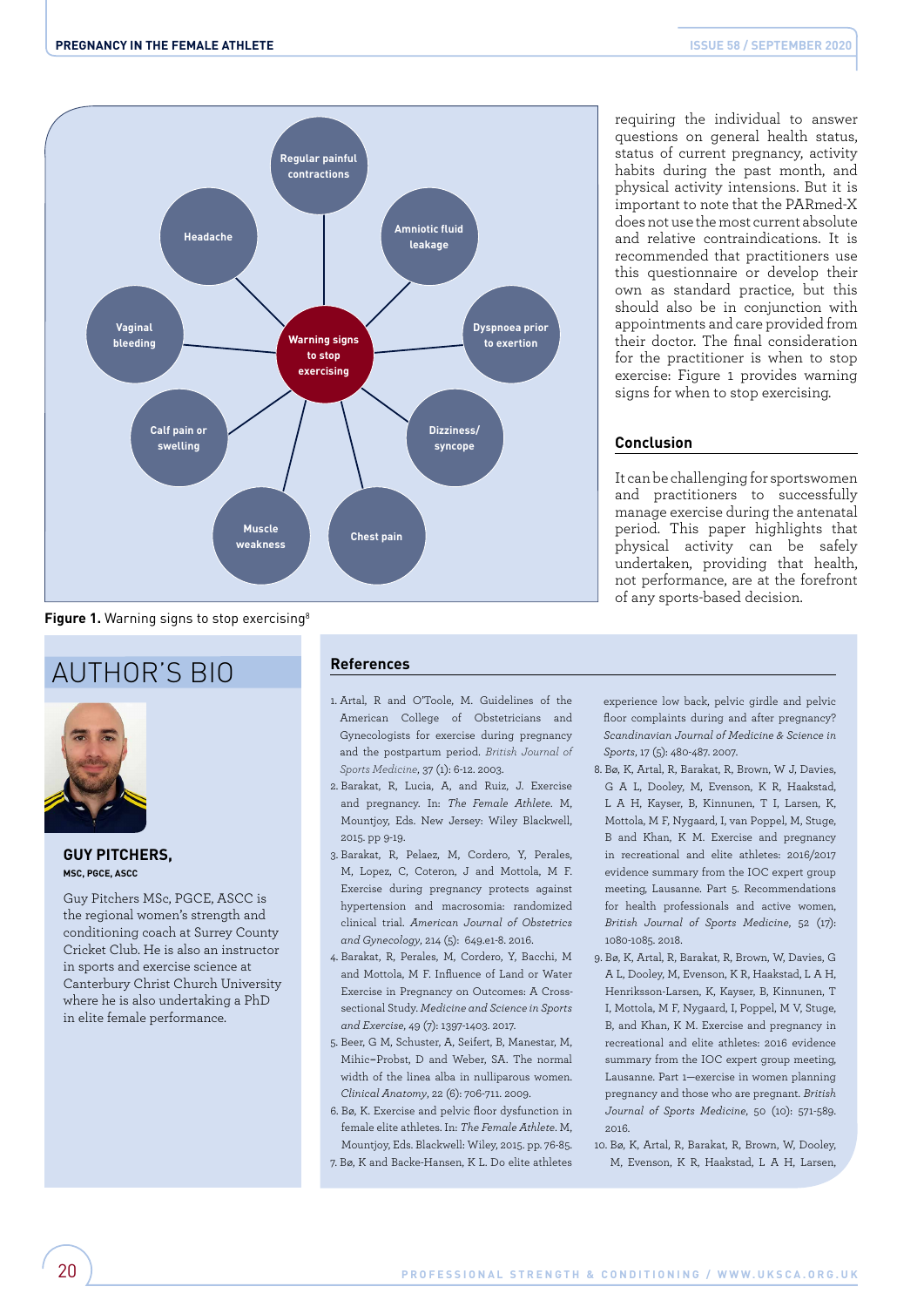requiring the individual to answer questions on general health status, status of current pregnancy, activity habits during the past month, and physical activity intensions. But it is important to note that the PARmed-X does not use the most current absolute and relative contraindications. It is recommended that practitioners use this questionnaire or develop their own as standard practice, but this should also be in conjunction with appointments and care provided from their doctor. The final consideration for the practitioner is when to stop exercise: Figure 1 provides warning signs for when to stop exercising.



Figure 1. Warning signs to stop exercising<sup>8</sup>

## AUTHOR'S BIO



#### **GUY PITCHERS, MSC, PGCE, ASCC**

Guy Pitchers MSc, PGCE, ASCC is the regional women's strength and conditioning coach at Surrey County Cricket Club. He is also an instructor in sports and exercise science at Canterbury Christ Church University where he is also undertaking a PhD in elite female performance.

#### **References**

- 1. Artal, R and O'Toole, M. Guidelines of the American College of Obstetricians and Gynecologists for exercise during pregnancy and the postpartum period. *British Journal of Sports Medicine*, 37 (1): 6-12. 2003.
- 2. Barakat, R, Lucia, A, and Ruiz, J. Exercise and pregnancy. In: *The Female Athlete*. M, Mountjoy, Eds. New Jersey: Wiley Blackwell, 2015. pp 9-19.
- 3. Barakat, R, Pelaez, M, Cordero, Y, Perales, M, Lopez, C, Coteron, J and Mottola, M F. Exercise during pregnancy protects against hypertension and macrosomia: randomized clinical trial. *American Journal of Obstetrics and Gynecology*, 214 (5): 649.e1-8. 2016.
- 4. Barakat, R, Perales, M, Cordero, Y, Bacchi, M and Mottola, M F. Influence of Land or Water Exercise in Pregnancy on Outcomes: A Crosssectional Study. *Medicine and Science in Sports and Exercise*, 49 (7): 1397-1403. 2017.
- 5. Beer, G M, Schuster, A, Seifert, B, Manestar, M, Mihic‐Probst, D and Weber, SA. The normal width of the linea alba in nulliparous women. *Clinical Anatomy*, 22 (6): 706-711. 2009.
- 6. Bø, K. Exercise and pelvic floor dysfunction in female elite athletes. In: *The Female Athlete*. M, Mountjoy, Eds. Blackwell: Wiley, 2015. pp. 76-85.
- 7. Bø, K and Backe-Hansen, K L. Do elite athletes

experience low back, pelvic girdle and pelvic floor complaints during and after pregnancy? *Scandinavian Journal of Medicine & Science in Sports*, 17 (5): 480-487. 2007.

of any sports-based decision.

It can be challenging for sportswomen and practitioners to successfully manage exercise during the antenatal period. This paper highlights that physical activity can be safely undertaken, providing that health, not performance, are at the forefront

**Conclusion**

- 8. Bø, K, Artal, R, Barakat, R, Brown, W J, Davies, G A L, Dooley, M, Evenson, K R, Haakstad, L A H, Kayser, B, Kinnunen, T I, Larsen, K, Mottola, M F, Nygaard, I, van Poppel, M, Stuge, B and Khan, K M. Exercise and pregnancy in recreational and elite athletes: 2016/2017 evidence summary from the IOC expert group meeting, Lausanne. Part 5. Recommendations for health professionals and active women, *British Journal of Sports Medicine*, 52 (17): 1080-1085. 2018.
- 9. Bø, K, Artal, R, Barakat, R, Brown, W, Davies, G A L, Dooley, M, Evenson, K R, Haakstad, L A H, Henriksson-Larsen, K, Kayser, B, Kinnunen, T I, Mottola, M F, Nygaard, I, Poppel, M V, Stuge, B, and Khan, K M. Exercise and pregnancy in recreational and elite athletes: 2016 evidence summary from the IOC expert group meeting, Lausanne. Part 1—exercise in women planning pregnancy and those who are pregnant. *British Journal of Sports Medicine*, 50 (10): 571-589. 2016.
- 10. Bø, K, Artal, R, Barakat, R, Brown, W, Dooley, M, Evenson, K R, Haakstad, L A H, Larsen,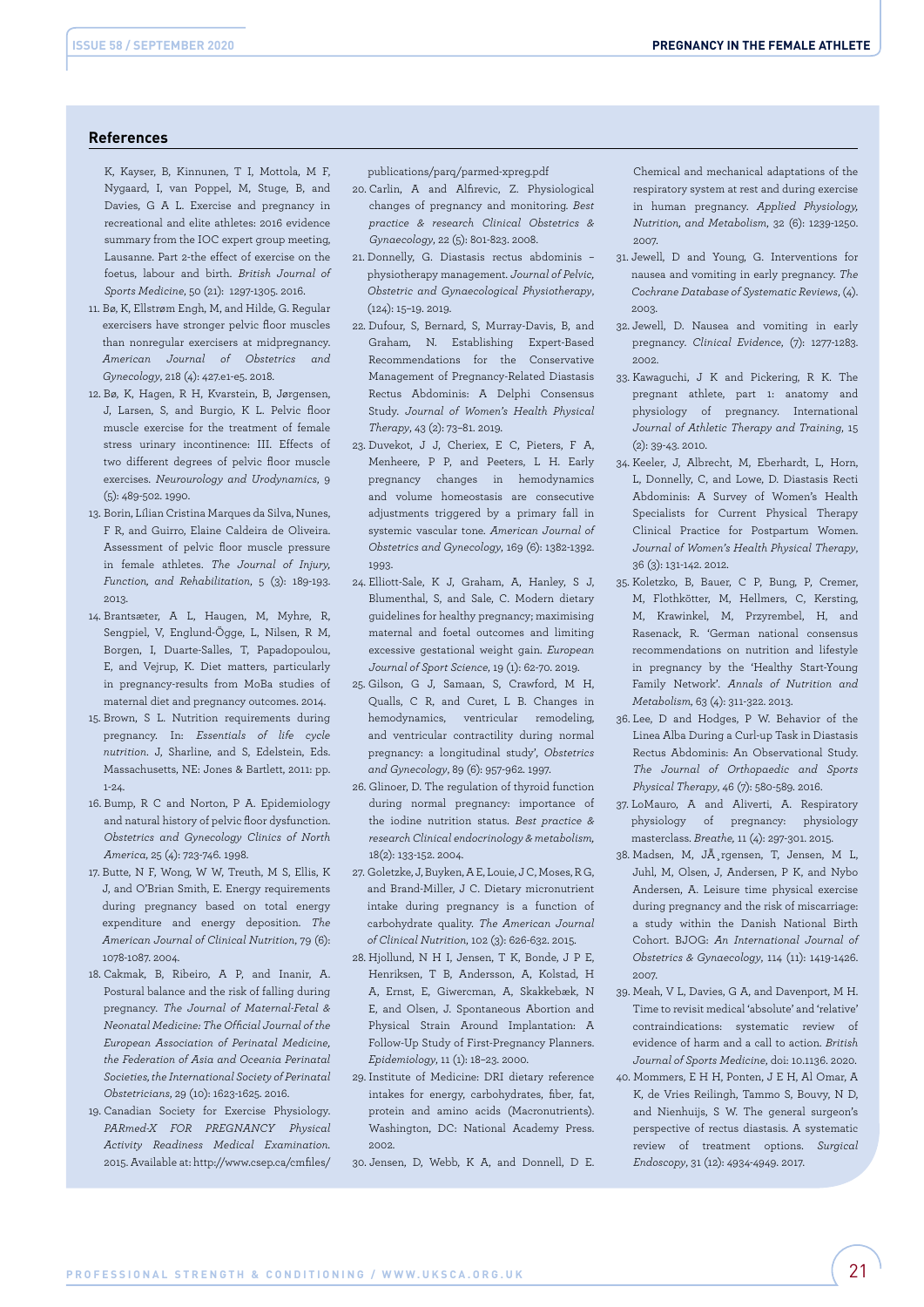#### **References**

K, Kayser, B, Kinnunen, T I, Mottola, M F, Nygaard, I, van Poppel, M, Stuge, B, and Davies, G A L. Exercise and pregnancy in recreational and elite athletes: 2016 evidence summary from the IOC expert group meeting, Lausanne. Part 2-the effect of exercise on the foetus, labour and birth. *British Journal of Sports Medicine*, 50 (21): 1297-1305. 2016.

- 11. Bø, K, Ellstrøm Engh, M, and Hilde, G. Regular exercisers have stronger pelvic floor muscles than nonregular exercisers at midpregnancy. *American Journal of Obstetrics and Gynecology*, 218 (4): 427.e1-e5. 2018.
- 12. Bø, K, Hagen, R H, Kvarstein, B, Jørgensen, J, Larsen, S, and Burgio, K L. Pelvic floor muscle exercise for the treatment of female stress urinary incontinence: III. Effects of two different degrees of pelvic floor muscle exercises. *Neurourology and Urodynamics*, 9 (5): 489-502. 1990.
- 13. Borin, Lílian Cristina Marques da Silva, Nunes, F R, and Guirro, Elaine Caldeira de Oliveira. Assessment of pelvic floor muscle pressure in female athletes. *The Journal of Injury, Function, and Rehabilitation*, 5 (3): 189-193. 2013.
- 14. Brantsæter, A L, Haugen, M, Myhre, R, Sengpiel, V, Englund-Ögge, L, Nilsen, R M, Borgen, I, Duarte-Salles, T, Papadopoulou, E, and Vejrup, K. Diet matters, particularly in pregnancy-results from MoBa studies of maternal diet and pregnancy outcomes. 2014.
- 15. Brown, S L. Nutrition requirements during pregnancy. In: *Essentials of life cycle nutrition*. J, Sharline, and S, Edelstein, Eds. Massachusetts, NE: Jones & Bartlett, 2011: pp. 1-24.
- 16. Bump, R C and Norton, P A. Epidemiology and natural history of pelvic floor dysfunction. *Obstetrics and Gynecology Clinics of North America*, 25 (4): 723-746. 1998.
- 17. Butte, N F, Wong, W W, Treuth, M S, Ellis, K J, and O'Brian Smith, E. Energy requirements during pregnancy based on total energy expenditure and energy deposition. *The American Journal of Clinical Nutrition*, 79 (6): 1078-1087. 2004.
- 18. Cakmak, B, Ribeiro, A P, and Inanir, A. Postural balance and the risk of falling during pregnancy. *The Journal of Maternal-Fetal & Neonatal Medicine: The Official Journal of the European Association of Perinatal Medicine, the Federation of Asia and Oceania Perinatal Societies, the International Society of Perinatal Obstetricians*, 29 (10): 1623-1625. 2016.
- 19. Canadian Society for Exercise Physiology. *PARmed-X FOR PREGNANCY Physical Activity Readiness Medical Examination.*  2015. Available at: http://www.csep.ca/cmfiles/

publications/parq/parmed-xpreg.pdf

- 20. Carlin, A and Alfirevic, Z. Physiological changes of pregnancy and monitoring. *Best practice & research Clinical Obstetrics & Gynaecology*, 22 (5): 801-823. 2008.
- 21. Donnelly, G. Diastasis rectus abdominis physiotherapy management. *Journal of Pelvic, Obstetric and Gynaecological Physiotherapy*, (124): 15–19. 2019.
- 22. Dufour, S, Bernard, S, Murray-Davis, B, and Graham, N. Establishing Expert-Based Recommendations for the Conservative Management of Pregnancy-Related Diastasis Rectus Abdominis: A Delphi Consensus Study. *Journal of Women's Health Physical Therapy*, 43 (2): 73–81. 2019.
- 23. Duvekot, J J, Cheriex, E C, Pieters, F A, Menheere, P P, and Peeters, L H. Early pregnancy changes in hemodynamics and volume homeostasis are consecutive adjustments triggered by a primary fall in systemic vascular tone. *American Journal of Obstetrics and Gynecology*, 169 (6): 1382-1392. 1993.
- 24. Elliott-Sale, K J, Graham, A, Hanley, S J, Blumenthal, S, and Sale, C. Modern dietary guidelines for healthy pregnancy; maximising maternal and foetal outcomes and limiting excessive gestational weight gain. *European Journal of Sport Science*, 19 (1): 62-70. 2019.
- 25. Gilson, G J, Samaan, S, Crawford, M H, Qualls, C R, and Curet, L B. Changes in hemodynamics, ventricular remodeling, and ventricular contractility during normal pregnancy: a longitudinal study', *Obstetrics and Gynecology*, 89 (6): 957-962. 1997.
- 26. Glinoer, D. The regulation of thyroid function during normal pregnancy: importance of the iodine nutrition status. *Best practice & research Clinical endocrinology & metabolism,*  18(2): 133-152. 2004.
- 27. Goletzke, J, Buyken, A E, Louie, J C, Moses, R G, and Brand-Miller, J C. Dietary micronutrient intake during pregnancy is a function of carbohydrate quality. *The American Journal of Clinical Nutrition*, 102 (3): 626-632. 2015.
- 28. Hjollund, N H I, Jensen, T K, Bonde, J P E, Henriksen, T B, Andersson, A, Kolstad, H A, Ernst, E, Giwercman, A, Skakkebæk, N E, and Olsen, J. Spontaneous Abortion and Physical Strain Around Implantation: A Follow-Up Study of First-Pregnancy Planners. *Epidemiology*, 11 (1): 18–23. 2000.
- 29. Institute of Medicine: DRI dietary reference intakes for energy, carbohydrates, fiber, fat, protein and amino acids (Macronutrients). Washington, DC: National Academy Press. 2002.
- 30. Jensen, D, Webb, K A, and Donnell, D E.

Chemical and mechanical adaptations of the respiratory system at rest and during exercise in human pregnancy. *Applied Physiology, Nutrition, and Metabolism*, 32 (6): 1239-1250. 2007.

- 31. Jewell, D and Young, G. Interventions for nausea and vomiting in early pregnancy. *The Cochrane Database of Systematic Reviews*, (4). 2003.
- 32. Jewell, D. Nausea and vomiting in early pregnancy. *Clinical Evidence*, (7): 1277-1283. 2002.
- 33. Kawaguchi, J K and Pickering, R K. The pregnant athlete, part 1: anatomy and physiology of pregnancy. International *Journal of Athletic Therapy and Training*, 15 (2): 39-43. 2010.
- 34. Keeler, J, Albrecht, M, Eberhardt, L, Horn, L, Donnelly, C, and Lowe, D. Diastasis Recti Abdominis: A Survey of Women's Health Specialists for Current Physical Therapy Clinical Practice for Postpartum Women. *Journal of Women's Health Physical Therapy*, 36 (3): 131-142. 2012.
- 35. Koletzko, B, Bauer, C P, Bung, P, Cremer, M, Flothkötter, M, Hellmers, C, Kersting, M, Krawinkel, M, Przyrembel, H, and Rasenack, R. 'German national consensus recommendations on nutrition and lifestyle in pregnancy by the 'Healthy Start-Young Family Network'. *Annals of Nutrition and Metabolism*, 63 (4): 311-322. 2013.
- 36. Lee, D and Hodges, P W. Behavior of the Linea Alba During a Curl-up Task in Diastasis Rectus Abdominis: An Observational Study. *The Journal of Orthopaedic and Sports Physical Therapy*, 46 (7): 580-589. 2016.
- 37. LoMauro, A and Aliverti, A. Respiratory physiology of pregnancy: physiology masterclass. *Breathe,* 11 (4): 297-301. 2015.
- 38. Madsen, M, JÃ rgensen, T, Jensen, M L, Juhl, M, Olsen, J, Andersen, P K, and Nybo Andersen, A. Leisure time physical exercise during pregnancy and the risk of miscarriage: a study within the Danish National Birth Cohort. BJOG: *An International Journal of Obstetrics & Gynaecology*, 114 (11): 1419-1426. 2007.
- 39. Meah, V L, Davies, G A, and Davenport, M H. Time to revisit medical 'absolute' and 'relative' contraindications: systematic review of evidence of harm and a call to action. *British Journal of Sports Medicine*, doi: 10.1136. 2020.
- 40. Mommers, E H H, Ponten, J E H, Al Omar, A K, de Vries Reilingh, Tammo S, Bouvy, N D, and Nienhuijs, S W. The general surgeon's perspective of rectus diastasis. A systematic review of treatment options. *Surgical Endoscopy*, 31 (12): 4934-4949. 2017.